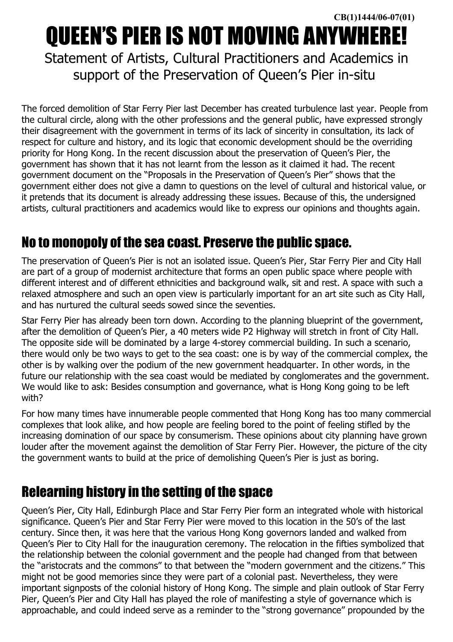# QUEEN'S PIER IS NOT MOVING ANYWHERE!

Statement of Artists, Cultural Practitioners and Academics in support of the Preservation of Queen's Pier in-situ

The forced demolition of Star Ferry Pier last December has created turbulence last year. People from the cultural circle, along with the other professions and the general public, have expressed strongly their disagreement with the government in terms of its lack of sincerity in consultation, its lack of respect for culture and history, and its logic that economic development should be the overriding priority for Hong Kong. In the recent discussion about the preservation of Queen's Pier, the government has shown that it has not learnt from the lesson as it claimed it had. The recent government document on the "Proposals in the Preservation of Queen's Pier" shows that the government either does not give a damn to questions on the level of cultural and historical value, or it pretends that its document is already addressing these issues. Because of this, the undersigned artists, cultural practitioners and academics would like to express our opinions and thoughts again.

# No to monopoly of the sea coast. Preserve the public space.

The preservation of Queen's Pier is not an isolated issue. Queen's Pier, Star Ferry Pier and City Hall are part of a group of modernist architecture that forms an open public space where people with different interest and of different ethnicities and background walk, sit and rest. A space with such a relaxed atmosphere and such an open view is particularly important for an art site such as City Hall, and has nurtured the cultural seeds sowed since the seventies.

Star Ferry Pier has already been torn down. According to the planning blueprint of the government, after the demolition of Queen's Pier, a 40 meters wide P2 Highway will stretch in front of City Hall. The opposite side will be dominated by a large 4-storey commercial building. In such a scenario, there would only be two ways to get to the sea coast: one is by way of the commercial complex, the other is by walking over the podium of the new government headquarter. In other words, in the future our relationship with the sea coast would be mediated by conglomerates and the government. We would like to ask: Besides consumption and governance, what is Hong Kong going to be left with?

For how many times have innumerable people commented that Hong Kong has too many commercial complexes that look alike, and how people are feeling bored to the point of feeling stifled by the increasing domination of our space by consumerism. These opinions about city planning have grown louder after the movement against the demolition of Star Ferry Pier. However, the picture of the city the government wants to build at the price of demolishing Queen's Pier is just as boring.

# Relearning history in the setting of the space

Queen's Pier, City Hall, Edinburgh Place and Star Ferry Pier form an integrated whole with historical significance. Queen's Pier and Star Ferry Pier were moved to this location in the 50's of the last century. Since then, it was here that the various Hong Kong governors landed and walked from Queen's Pier to City Hall for the inauguration ceremony. The relocation in the fifties symbolized that the relationship between the colonial government and the people had changed from that between the "aristocrats and the commons" to that between the "modern government and the citizens." This might not be good memories since they were part of a colonial past. Nevertheless, they were important signposts of the colonial history of Hong Kong. The simple and plain outlook of Star Ferry Pier, Queen's Pier and City Hall has played the role of manifesting a style of governance which is approachable, and could indeed serve as a reminder to the "strong governance" propounded by the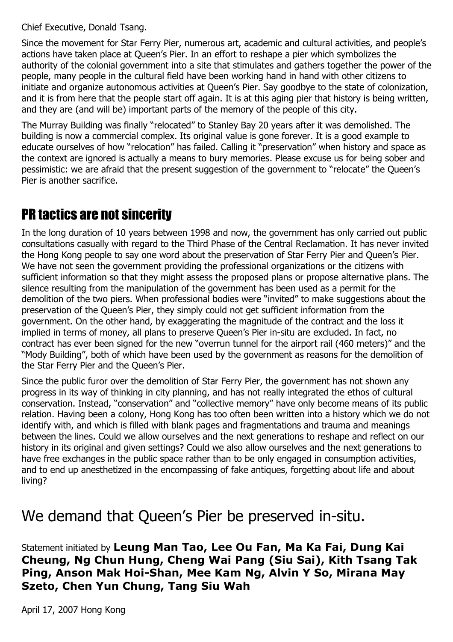Chief Executive, Donald Tsang.

Since the movement for Star Ferry Pier, numerous art, academic and cultural activities, and people's actions have taken place at Queen's Pier. In an effort to reshape a pier which symbolizes the authority of the colonial government into a site that stimulates and gathers together the power of the people, many people in the cultural field have been working hand in hand with other citizens to initiate and organize autonomous activities at Queen's Pier. Say goodbye to the state of colonization, and it is from here that the people start off again. It is at this aging pier that history is being written, and they are (and will be) important parts of the memory of the people of this city.

The Murray Building was finally "relocated" to Stanley Bay 20 years after it was demolished. The building is now a commercial complex. Its original value is gone forever. It is a good example to educate ourselves of how "relocation" has failed. Calling it "preservation" when history and space as the context are ignored is actually a means to bury memories. Please excuse us for being sober and pessimistic: we are afraid that the present suggestion of the government to "relocate" the Queen's Pier is another sacrifice.

# PR tactics are not sincerity

In the long duration of 10 years between 1998 and now, the government has only carried out public consultations casually with regard to the Third Phase of the Central Reclamation. It has never invited the Hong Kong people to say one word about the preservation of Star Ferry Pier and Queen's Pier. We have not seen the government providing the professional organizations or the citizens with sufficient information so that they might assess the proposed plans or propose alternative plans. The silence resulting from the manipulation of the government has been used as a permit for the demolition of the two piers. When professional bodies were "invited" to make suggestions about the preservation of the Queen's Pier, they simply could not get sufficient information from the government. On the other hand, by exaggerating the magnitude of the contract and the loss it implied in terms of money, all plans to preserve Queen's Pier in-situ are excluded. In fact, no contract has ever been signed for the new "overrun tunnel for the airport rail (460 meters)" and the "Mody Building", both of which have been used by the government as reasons for the demolition of the Star Ferry Pier and the Queen's Pier.

Since the public furor over the demolition of Star Ferry Pier, the government has not shown any progress in its way of thinking in city planning, and has not really integrated the ethos of cultural conservation. Instead, "conservation" and "collective memory" have only become means of its public relation. Having been a colony, Hong Kong has too often been written into a history which we do not identify with, and which is filled with blank pages and fragmentations and trauma and meanings between the lines. Could we allow ourselves and the next generations to reshape and reflect on our history in its original and given settings? Could we also allow ourselves and the next generations to have free exchanges in the public space rather than to be only engaged in consumption activities, and to end up anesthetized in the encompassing of fake antiques, forgetting about life and about living?

# We demand that Queen's Pier be preserved in-situ.

Statement initiated by **Leung Man Tao, Lee Ou Fan, Ma Ka Fai, Dung Kai Cheung, Ng Chun Hung, Cheng Wai Pang (Siu Sai), Kith Tsang Tak Ping, Anson Mak Hoi-Shan, Mee Kam Ng, Alvin Y So, Mirana May Szeto, Chen Yun Chung, Tang Siu Wah**

April 17, 2007 Hong Kong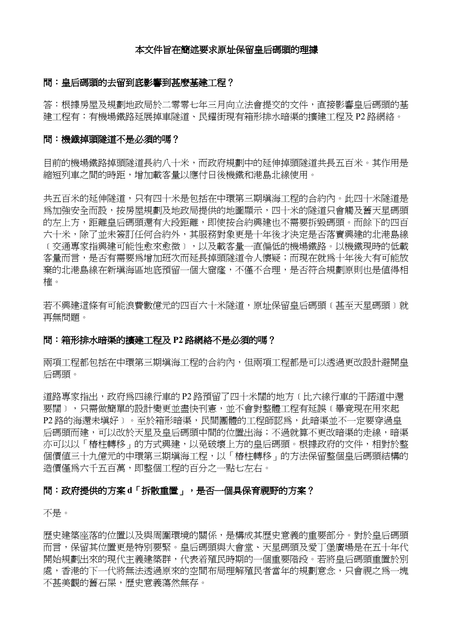#### 本文件旨在簡述要求原址保留皇后碼頭的理據

#### 問:皇后碼頭的去留到底影響到甚麼基建工程?

答:根據房屋及規劃地政局於二零零七年三月向立法會提交的文件,直接影響皇后碼頭的基 建工程有:有機場鐵路延展掉車隧道、民耀街現有箱形排水暗渠的擴建工程及 P2 路網絡。

### 問:機鐡掉頭隧道不是必須的嗎?

目前的機場鐵路掉頭隧道長約八十米,而政府規劃中的延伸掉頭隧道共長五百米。其作用是 縮短列車之間的時距,增加載客量以應付日後機鐵和港島北線使用。

共五百米的延伸隧道,只有四十米是包括在中環第三期填海工程的合約內。此四十米隧道是 為加強安全而設,按房屋規劃及地政局提供的地圖顯示,四十米的隊道只會觸及舊天星碼頭 的左上方,距離皇后碼頭還有大段距離,即使按合約興建也不需要拆毀碼頭。而餘下的四百 六十米,除了並未簽訂任何合約外,其服務對象更是十年後才決定是否落實興建的北港島線 ﹝交通專家指興建可能性愈來愈微﹞,以及載客量一直偏低的機場鐵路。以機鐵現時的低載 客量而言,是否有需要為增加班次而延長掉頭隧道令人懷疑;而現在就為十年後大有可能放 棄的北港島線在新填海區地底預留一個大窟窿,不僅不合理,是否符合規劃原則也是值得相 権。<br><br>若不興建這條有可能浪費數億元的四百六十米隊道,原址保留皇后碼頭〔甚至天星碼頭〕就

再無問題。

#### 問:箱形排水暗渠的擴建工程及 **P2** 路網絡不是必須的嗎?

兩項工程都包括在中環第三期填海工程的合約內,但兩項工程都是可以透過更改設計避開皇 后碼頭。

道路專家指出,政府為四線行車的 P2 路預留了四十米闊的地方﹝比六線行車的干諾道中還 要闊〕,只需做簡單的設計變更並盡快刊憲,並不會對整體工程有延誤〔畢竟現在用來起 P2 路的海還未填好) 。至於箱形暗渠,民間團體的工程師認爲,此暗渠並不一定要穿過皇 后碼頭而建,可以改於天星及皇后碼頭中間的位置出海;不過就算不更改暗渠的走線,暗渠 亦可以以「樁柱轉移」的方式興建,以免破壞上方的皇后碼頭。根據政府的文件,相對於整 個價值三十九億元的中環第三期填海工程,以「樁柱轉移」的方法保留整個皇后碼頭結構的 造價僅為六千五百萬,即整個工程的百分之一點七左右。

#### 問:政府提供的方案 **d**「拆散重置」,是否一個具保育視野的方案?

不是。

歷史建築座落的位置以及與周圍環境的關係,是構成其歷史意義的重要部分。對於皇后碼頭 而言,保留其位置更是特別要堅。皇后碼頭與大會堂、天星碼頭及愛丁堡廣場是在五十年代 開始規劃出來的現代主義建築群,代表着殖民時期的一個重要階段。若將皇后碼頭重置於別 處,香港的下一代將無法透過原來的空間布局理解殖民者當年的規劃意念,只會視之為一塊 不甚美觀的舊石屎,歷史意義蕩然無存。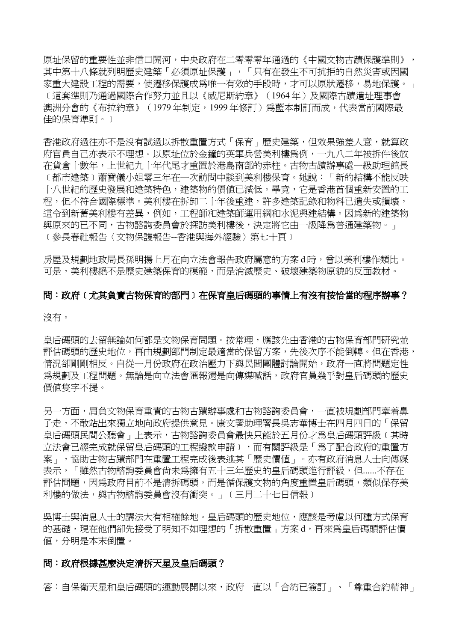原址保留的重要性並非信口開河,中央政府在二零零零年通過的《中國文物古蹟保護準則》, 其中第十八條就列明歷史建築「必須原址保護」,「只有在發生不可抗拒的自然災害或因國 家重大建設工程的需要,使遷移保護成為唯一有效的手段時,才可以原狀遷移,易地保護。」 ﹝這套準則乃通過國際合作努力並且以《威尼斯約章》(1964 年)及國際古蹟遺址理事會 澳洲分會的《布拉約章》(1979年制定,1999年修訂)為藍本制訂而成,代表當前國際最 佳的保育準則。﹞

香港政府過往亦不是沒有試過以拆散重置方式「保育」歷史建築,但效果強差人意,就算政 府官員自己亦表示不理想。以原址位於金鐘的英軍兵營美利樓為例,一九八二年被拆件後放 在貨倉十數年,上世紀九十年代尾才重置於港島南部的赤柱。古物古蹟辦事處一級助理館長 ﹝都市建築﹞蕭寶儀小姐零三年在一次訪問中談到美利樓保育。她說:「新的結構不能反映 十八世紀的歷史發展和建築特色,建築物的價值已減低。畢竟,它是香港首個重新安置的工 程,但不符合國際標準。美利樓在拆卸二十年後重建,許多建築記錄和物料已潰失或損壞, 這令到新舊美利樓有差異,例如,工程師和建築師運用綱和水泥興建結構。因為新的建築物 與原來的已不同,古物諮詢委員會於探訪美利樓後,決定將它由一級降為普通建築物。」 ﹝參長春社報告〈文物保謢報告--香港與海外經驗〉第七十頁﹞

房屋及規劃地政局長孫明揚上月在向立法會報告政府屬意的方案 d 時,曾以美利樓作類比。 可是,美利樓絕不是歷史建築保育的模範,而是消滅歷史、破壞建築物原貌的反面教材。

### 問:政府﹝尤其負責古物保育的部門﹞在保育皇后碼頭的事情上有沒有按恰當的程序辦事?

沒有。

皇后碼頭的去留無論如何都是文物保育問題。按常理,應該先由香港的古物保育部門研究並 評估碼頭的歷史地位,再由規劃部門制定最適當的保留方案,先後次序不能倒轉。但在香港, 情況卻剛剛相反。自從一月份政府在政治壓力下與民間團體討論開始,政府一直將問題定性 為規劃及工程問題。無論是向立法會匯報還是向傳媒喊話,政府官員幾乎對皇后碼頭的歷史 價值隻字不提。

另一方面,肩負文物保育重責的古物古蹟辦事處和古物諮詢委員會,一直被規劃部門牽着鼻 子走,不敢站出來獨立地向政府提供意見。康文署助理署長吳志華博士在四月四日的「保留 皇后碼頭民間公聽會」上表示,古物諮詢委員會最快只能於五月份才為皇后碼頭評級﹝其時 立法會已經完成就保留皇后碼頭的工程撥款申請﹞,而有關評級是「為了配合政府的重置方 案」,協助古物古蹟部門在重置工程完成後表述其「歷史價值」。亦有政府消息人士向傳媒 表示,「雖然古物諮詢委員會尙未爲擁有五十三年歷史的皇后碼頭進行評級,但......不存在 評估問題,因為政府目前不是清拆碼頭,而是循保護文物的角度重置皇后碼頭,類似保存美 利樓的做法,與古物諮詢委員會沒有衝突。」〔三月二十七日信報〕

吳博士與消息人士的講法大有相榷餘地。皇后碼頭的歷史地位,應該是考慮以何種方式保育 的基礎,現在他們卻先接受了明知不如理想的「拆散重置」方案 d,再來為皇后碼頭評估價 值,分明是本末倒置。

#### 問:政府根據甚麼決定清拆天星及皇后碼頭?

答:自保衛天星和皇后碼頭的運動展開以來,政府一直以「合約已簽訂」、「尊重合約精神」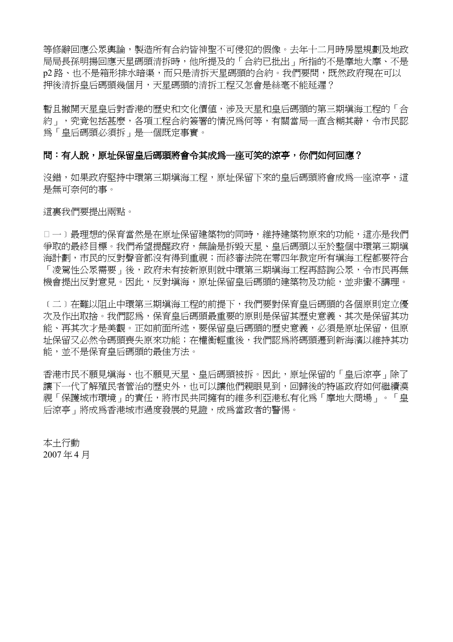等修辭回應公眾輿論,製造所有合約皆神聖不可侵犯的假像。去年十二月時房屋規劃及地政 局局長孫明揚回應天星碼頭清拆時,他所提及的「合約已批出」所指的不是摩地大摩、不是 p2 路、也不是箱形排水暗渠,而只是清拆天星碼頭的合約。我們要問,既然政府現在可以 押後清拆皇后碼頭幾個月,天星碼頭的清拆工程又怎會是絲毫不能延遲?

暫且撇開天星皇后對香港的歷史和文化價值,涉及天星和皇后碼頭的第三期填海工程的「合 約」,究竟包括甚麼,各項工程合約簽署的情況為何等,有關當局一直含糊其辭,令市民認 為「皇后碼頭必須拆」是一個既定事實。

### 問:有人說,原址保留皇后碼頭將會令其成爲一座可笑的涼亭,你們如何回應?

沒錯,如果政府堅持中環第三期填海工程,原址保留下來的皇后碼頭將會成為一座涼亭,這 是無可奈何的事。

這裏我們要提出兩點。

口一)最理想的保育當然是在原址保留建築物的同時,維持建築物原來的功能,這亦是我們 争取的最終目標。我們希望提醒政府,無論是拆毀天星、皇后碼頭以至於整個中環第三期填 海計劃,市民的反對聲音都沒有得到重視;而終審法院在零四年裁定所有填海工程都要符合 「凌駕性公眾需要」後,政府未有按新原則就中環第三期填海工程再諮詢公眾,令市民再無 機會提出反對意見。因此,反對填海,原址保留皇后碼頭的建築物及功能,並非蠻不講理。

﹝二﹞在難以阻止中環第三期填海工程的前提下,我們要對保育皇后碼頭的各個原則定立優 次及作出取捨。我們認為,保育皇后碼頭最重要的原則是保留其歷史意義、其次是保留其功 能、再其次才是美觀。正如前面所述,要保留皇后碼頭的歷史意義,必須是原址保留,但原 址保留又必然令碼頭喪失原來功能;在權衡輕重後,我們認為將碼頭遷到新海濱以維持其功 能,並不是保育皇后碼頭的最佳方法。

香港市民不願見填海、也不願見天星、皇后碼頭被拆。因此,原址保留的「皇后涼亭」除了 讓下一代了解殖民者管治的歷史外,也可以讓他們親眼見到,回歸後的特區政府如何繼續漠 視「保護城市環境」的責任,將市民共同擁有的維多利亞港私有化為「摩地大商場」。「皇 后涼亭」將成為香港城市過度發展的見證,成為當政者的警惕。

本土行動 2007 年 4 月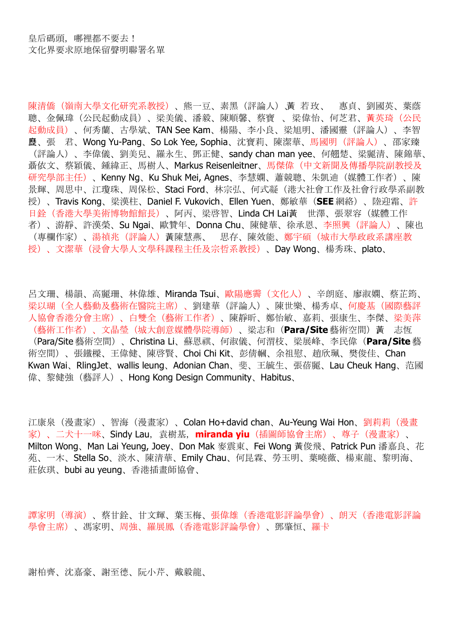陳清僑(嶺南大學文化研究系教授)、熊一豆、素黑(評論人)、黃 若玫、 惠貞、劉國英、葉蔭 聰、金佩瑋(公民起動成員)、梁美儀、潘毅、陳順馨、蔡寶 、梁偉怡、何芝君、黃英琦(公民 起動成員)、何秀蘭、古學斌、TAN See Kam、楊陽、李小良、梁旭明、潘國靈(評論人)、李智 歷良、張 君、Wong Yu-Pang、So Lok Yee, Sophia、沈寶莉、陳潔華、馬國明(評論人)、邵家臻 (評論人)、李偉儀、劉美兒、羅永生、鄧正健、sandy chan man yee、何翹楚、梁麗清、陳錦華、 聶依文、蔡穎儀、鍾緯正、馬樹人、Markus Reisenleitner、馬傑偉(中文新聞及傳播學院副教授及 研究學部主任)、Kenny Ng、Ku Shuk Mei, Agnes、李慧嫻、蕭競聰、朱凱迪(媒體工作者)、陳 景輝、周思中、江瓊珠、周保松、Staci Ford、林宗弘、何式凝(港大社會工作及社會行政學系副教 授)、Travis Kong、梁漢柱、Daniel F. Vukovich、Ellen Yuen、鄭敏華(**SEE** 網絡)、陸迎霜、許 日銓(香港大學美術博物館館長)、阿丙、梁啓智、Linda CH Lai黃、 世澤、張翠容(媒體工作 者)、游靜、許漢榮、Su Ngai、歐贊年、Donna Chu、陳健華、徐承恩、李照興(評論人)、陳也 (專欄作家)、湯禎兆(評論人)黃、陳慧燕、 思存、陳效能、鄭宇碩(城市大學政政系講座教 授)、文潔華(浸會大學人文學科課程主任及宗哲系教授)、Day Wong、楊秀珠、plato、

呂文珊、楊韻、高麗珊、林偉雄、Miranda Tsui、歐陽應霽(文化人)、辛朗庭、廖淑嫻、蔡芷筠、 梁以瑚(全人藝動及藝術在醫院主席)、劉建華(評論人)、陳世樂、楊秀卓、何慶基(國際藝評 人協會香港分會主席)、白雙全(藝術工作者)、陳靜昕、鄭怡敏、嘉莉、張康生、李傑、梁美萍 (藝術工作者)、文晶瑩(城大創意媒體學院導師)、梁志和(**Para/Site** 藝術空間)黃、 志恆 (Para/Site 藝術空間)、Christina Li、蘇恩祺、何淑儀、何渭枝、梁展峰、李民偉(**Para/Site** 藝 術空間)、張鐵樑、王偉健、陳啓賢、Choi Chi Kit、彭倩幗、余祖慰、趙欣珮、樊俊佳、Chan Kwan Wai、RlingJet、wallis leung、Adonian Chan、斐、王毓生、張蓓麗、Lau Cheuk Hang、范國 偉、黎健強(藝評人)、Hong Kong Design Community、Habitus、

江康泉(漫畫家)、智海(漫畫家)、Colan Ho+david chan、Au-Yeung Wai Hon、劉莉莉(漫畫 家)、二犬十一咪、Sindy Lau,袁樹基,**miranda yiu**(插圖師協會主席)、尊子(漫畫家)、 Milton Wong、Man Lai Yeung, Joey、Don Mak 麥震東、Fei Wong 黃俊飛、Patrick Pun 潘嘉良、花 苑、一木、Stella So、淡水、陳清華、Emily Chau、何昆霖、勞玉明、葉曉薇、楊東龍、黎明海、 莊依琪、bubi au yeung、香港插畫師協會、

譚家明(導演)、蔡甘銓、甘文輝、葉玉梅、張偉雄(香港電影評論學會)、朗天(香港電影評論 學會主席)、馮家明、周強、羅展鳳(香港電影評論學會)、鄧肇恒、羅卡

謝柏齊、沈嘉豪、謝至德、阮小芹、戴毅龍、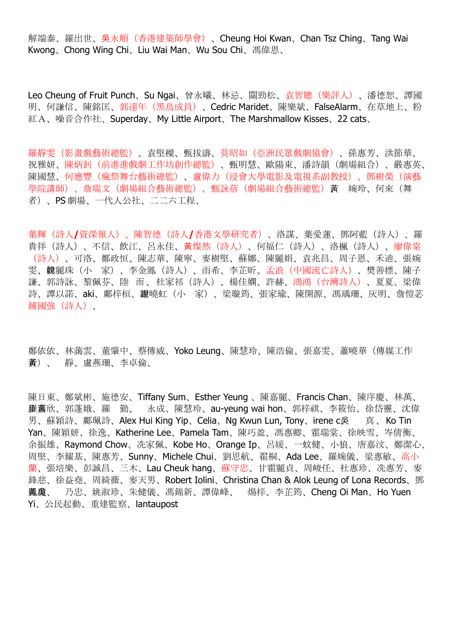解端泰、羅出世、吳永順(香港建築師學會)、Cheung Hoi Kwan、Chan Tsz Ching、Tang Wai Kwong、Chong Wing Chi、Liu Wai Man、Wu Sou Chi、馮偉恩、

Leo Cheung of Fruit Punch、Su Ngai、曾永曦、林忌、關勁松、袁智聰(樂評人)、潘德恕、譚國 明、何謙信、陳銘匡、郭達年(黑鳥成員)、Cedric Maridet、陳樂斌、FalseAlarm、在草地上、粉 紅A、噪音合作社、Superday、My Little Airport、The Marshmallow Kisses、22 cats、

羅靜雯(影畫戲藝術總監)、袁堅樑、甄拔濤、莫昭如(亞洲民眾戲劇協會)、孫惠芳、洪節華、 祝雅妍、陳炳釗(前進進戲劇工作坊創作總監)、甄明慧、歐陽東、潘詩韻(劇場組合)、嚴惠英、 陳國慧、何應豐(瘋祭舞台藝術總監)、盧偉力(浸會大學電影及電視系副教授)、鄧樹榮(演藝 學院講師)、詹瑞文(劇場組合藝術總監)、甄詠蓓(劇場組合藝術總監)、黃 婉玲、何來(舞 者)、PS 劇場、一代人公社、二二六工程、

葉輝(詩人**/**資深報人)、陳智德(詩人**/**香港文學研究者)、洛謀、葉愛蓮、鄧阿藍(詩人)、羅 貴祥(詩人)、不信、飲江、呂永佳、黃燦然(詩人)、何福仁(詩人)、洛楓(詩人)、廖偉棠 (詩人)、可洛、鄭政恒、陳志華、陳寧、麥樹堅、蘇娜、陳麗娟、袁兆昌、周子恩、禾迪、張婉 雯、說韓麗珠(小 家)、李金鳳(詩人)、雨希、李芷昕、孟浪(中國流亡詩人)、樊善標、陳子 謙、郭詩詠、黎佩芬、陸 而、杜家祁(詩人)、楊佳嫻、許赫、鴻鴻(台灣詩人)、夏夏、梁偉 詩、譚以諾、aki、鄺梓桓、說謝曉虹(小 家)、梁璇筠、張家瑜、陳開源、馮瑀珊、灰明、詹愷苾 鍾國強(詩人)、

鄭依依、林藹雲、董肇中、蔡傳威、Yoko Leung、陳慧玲、陳浩倫、張嘉雯、蕭曉華(傳媒工作 黃者)、 靜、盧燕珊、李卓倫、

陳日東、鄭斌彬、施德安、Tiffany Sum、Esther Yeung 、陳嘉麗、Francis Chan、陳序慶、林萬、 步羅黃嘉欣、郭蓬娥、羅 勤、 永成、陳慧玲、au-yeung wai hon、郭梓祺、李筱怡、徐岱靈、沈偉 男、蘇穎詩、鄺珮詩、Alex Hui King Yip、Celia、Ng Kwun Lun, Tony、irene c吳 真、Ko Tin Yan、陳穎妍、徐逸、Katherine Lee、Pamela Tam、陳巧盈、馮惠卿、霍瑞棠、徐映雪、岑倩衡、 余振雄、Raymond Chow、冼家佩、Kobe Ho、Orange Ip、呂媛、一蚊健、小狼、唐嘉汶、鄭潔心、 周堅、李耀基、陳惠芳、Sunny、Michele Chui、劉思航、翟桐、Ada Lee、羅婉儀、梁惠敏、高小 蘭、張培樂、彭誠昌、三木、Lau Cheuk hang、蘇守忠、甘霍麗貞、周峻任、杜惠珍、冼惠芳、麥 鋒慈、徐益堯、周綺薇、麥天男、Robert Iolini、Christina Chan & Alok Leung of Lona Records、鄧 黃鳳吳瓊、 乃忠、姚淑珍、朱健儀、馮錦新、譚偉峰、 煬梓、李芷筠、Cheng Oi Man、Ho Yuen Yi、公民起動、重建監察、lantaupost